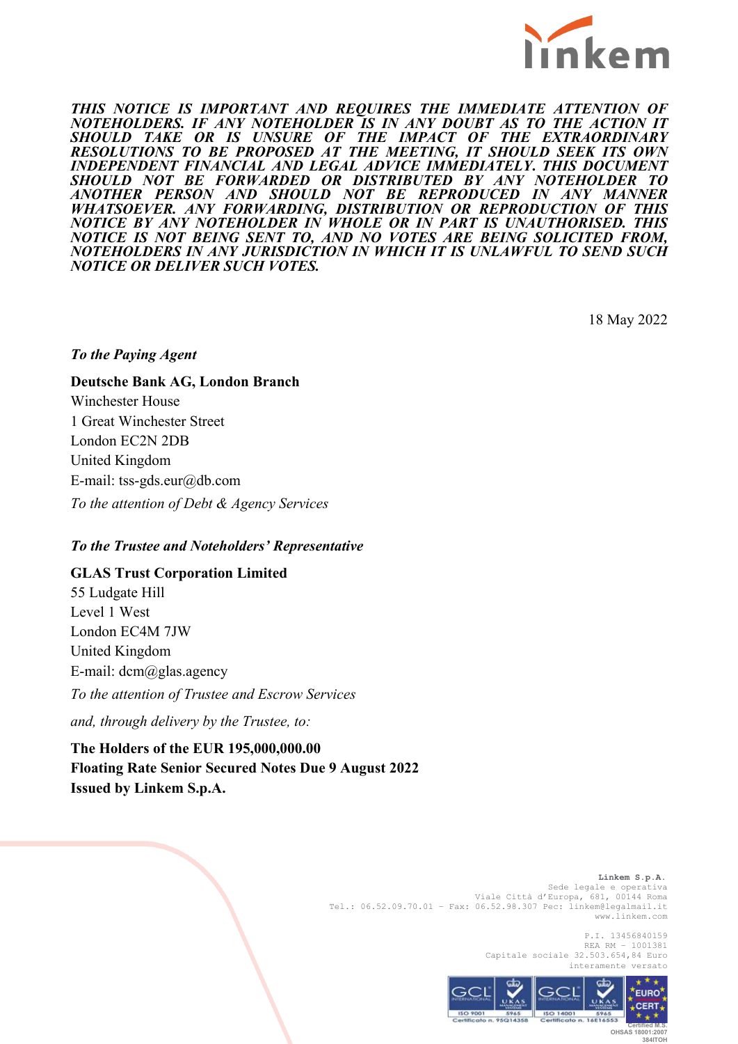

*THIS NOTICE IS IMPORTANT AND REQUIRES THE IMMEDIATE ATTENTION OF NOTEHOLDERS. IF ANY NOTEHOLDER IS IN ANY DOUBT AS TO THE ACTION IT SHOULD TAKE OR IS UNSURE OF THE IMPACT OF THE EXTRAORDINARY RESOLUTIONS TO BE PROPOSED AT THE MEETING, IT SHOULD SEEK ITS OWN INDEPENDENT FINANCIAL AND LEGAL ADVICE IMMEDIATELY***.** *THIS DOCUMENT SHOULD NOT BE FORWARDED OR DISTRIBUTED BY ANY NOTEHOLDER TO ANOTHER PERSON AND SHOULD NOT BE REPRODUCED IN ANY MANNER WHATSOEVER. ANY FORWARDING, DISTRIBUTION OR REPRODUCTION OF THIS NOTICE BY ANY NOTEHOLDER IN WHOLE OR IN PART IS UNAUTHORISED. THIS NOTICE IS NOT BEING SENT TO, AND NO VOTES ARE BEING SOLICITED FROM, NOTEHOLDERS IN ANY JURISDICTION IN WHICH IT IS UNLAWFUL TO SEND SUCH NOTICE OR DELIVER SUCH VOTES.* 

18 May 2022

#### *To the Paying Agent*

# **Deutsche Bank AG, London Branch** Winchester House

1 Great Winchester Street London EC2N 2DB United Kingdom E-mail: tss-gds.eur@db.com *To the attention of Debt & Agency Services*

#### *To the Trustee and Noteholders' Representative*

## **GLAS Trust Corporation Limited**

55 Ludgate Hill Level 1 West London EC4M 7JW United Kingdom E-mail: dcm@glas.agency

*To the attention of Trustee and Escrow Services*

*and, through delivery by the Trustee, to:*

**The Holders of the EUR 195,000,000.00 Floating Rate Senior Secured Notes Due 9 August 2022 Issued by Linkem S.p.A.**

> **Linkem S.p.A.**  Sede legale e operativa Viale Città d'Europa, 681, 00144 Roma Tel.: 06.52.09.70.01 – Fax: 06.52.98.307 Pec: linkem@legalmail.it www.linkem.com

> > P.I. 13456840159 REA RM – 1001381 Capitale sociale 32.503.654,84 Euro interamente versato



 **OHSAS 18001:2007 384ITOH**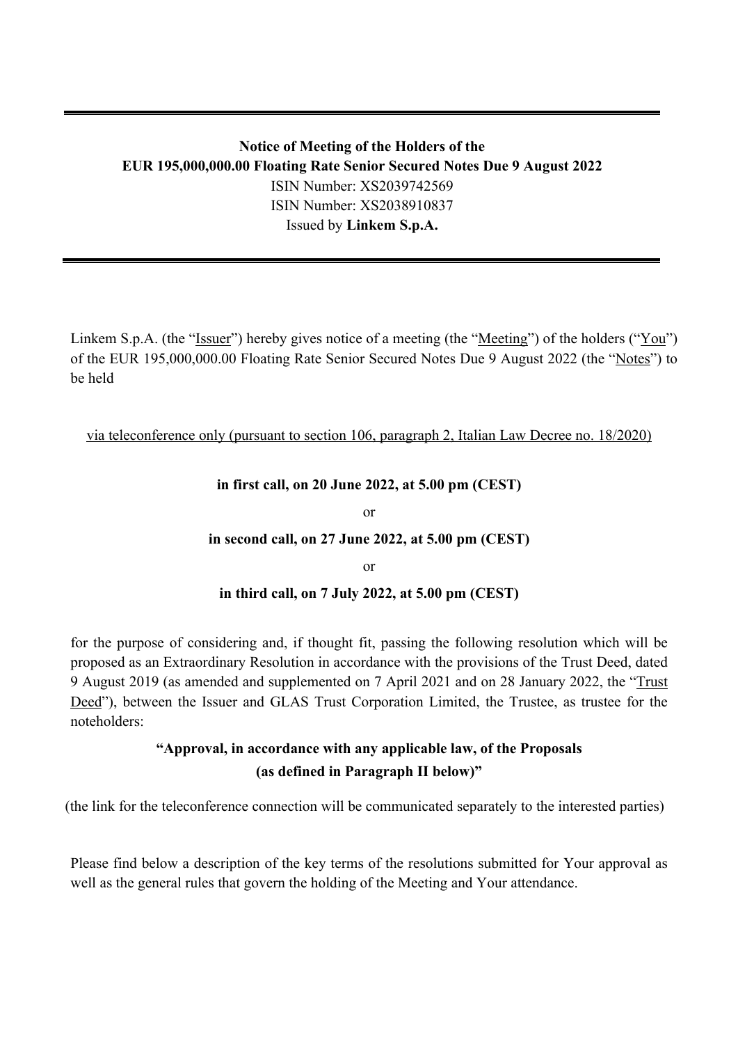## **Notice of Meeting of the Holders of the EUR 195,000,000.00 Floating Rate Senior Secured Notes Due 9 August 2022** ISIN Number: XS2039742569 ISIN Number: XS2038910837 Issued by **Linkem S.p.A.**

Linkem S.p.A. (the "<u>Issuer</u>") hereby gives notice of a meeting (the "<u>Meeting</u>") of the holders ("<u>You</u>") of the EUR 195,000,000.00 Floating Rate Senior Secured Notes Due 9 August 2022 (the "Notes") to be held

## via teleconference only (pursuant to section 106, paragraph 2, Italian Law Decree no. 18/2020)

## **in first call, on 20 June 2022, at 5.00 pm (CEST)**

or

#### **in second call, on 27 June 2022, at 5.00 pm (CEST)**

or

## **in third call, on 7 July 2022, at 5.00 pm (CEST)**

for the purpose of considering and, if thought fit, passing the following resolution which will be proposed as an Extraordinary Resolution in accordance with the provisions of the Trust Deed, dated 9 August 2019 (as amended and supplemented on 7 April 2021 and on 28 January 2022, the "Trust Deed"), between the Issuer and GLAS Trust Corporation Limited, the Trustee, as trustee for the noteholders:

## **"Approval, in accordance with any applicable law, of the Proposals (as defined in Paragraph II below)"**

(the link for the teleconference connection will be communicated separately to the interested parties)

Please find below a description of the key terms of the resolutions submitted for Your approval as well as the general rules that govern the holding of the Meeting and Your attendance.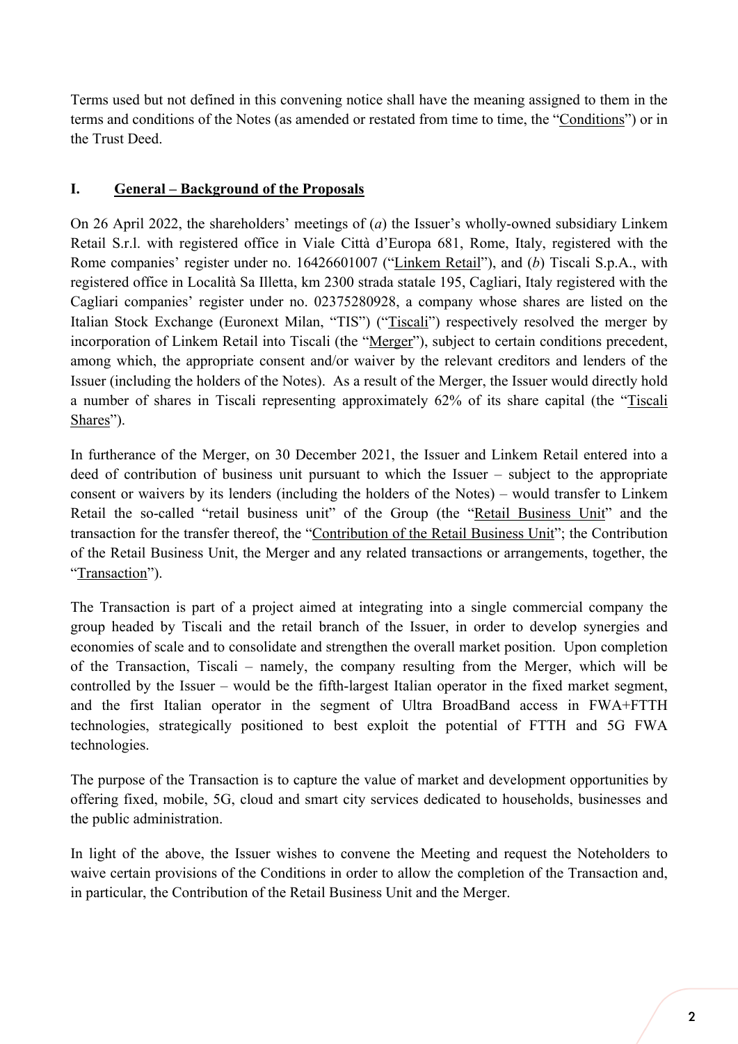Terms used but not defined in this convening notice shall have the meaning assigned to them in the terms and conditions of the Notes (as amended or restated from time to time, the "Conditions") or in the Trust Deed.

## **I. General – Background of the Proposals**

On 26 April 2022, the shareholders' meetings of (*a*) the Issuer's wholly-owned subsidiary Linkem Retail S.r.l. with registered office in Viale Città d'Europa 681, Rome, Italy, registered with the Rome companies' register under no. 16426601007 ("Linkem Retail"), and (*b*) Tiscali S.p.A., with registered office in Località Sa Illetta, km 2300 strada statale 195, Cagliari, Italy registered with the Cagliari companies' register under no. 02375280928, a company whose shares are listed on the Italian Stock Exchange (Euronext Milan, "TIS") ("Tiscali") respectively resolved the merger by incorporation of Linkem Retail into Tiscali (the "Merger"), subject to certain conditions precedent, among which, the appropriate consent and/or waiver by the relevant creditors and lenders of the Issuer (including the holders of the Notes). As a result of the Merger, the Issuer would directly hold a number of shares in Tiscali representing approximately 62% of its share capital (the "Tiscali Shares").

In furtherance of the Merger, on 30 December 2021, the Issuer and Linkem Retail entered into a deed of contribution of business unit pursuant to which the Issuer – subject to the appropriate consent or waivers by its lenders (including the holders of the Notes) – would transfer to Linkem Retail the so-called "retail business unit" of the Group (the "Retail Business Unit" and the transaction for the transfer thereof, the "Contribution of the Retail Business Unit"; the Contribution of the Retail Business Unit, the Merger and any related transactions or arrangements, together, the "Transaction").

The Transaction is part of a project aimed at integrating into a single commercial company the group headed by Tiscali and the retail branch of the Issuer, in order to develop synergies and economies of scale and to consolidate and strengthen the overall market position. Upon completion of the Transaction, Tiscali – namely, the company resulting from the Merger, which will be controlled by the Issuer – would be the fifth-largest Italian operator in the fixed market segment, and the first Italian operator in the segment of Ultra BroadBand access in FWA+FTTH technologies, strategically positioned to best exploit the potential of FTTH and 5G FWA technologies.

The purpose of the Transaction is to capture the value of market and development opportunities by offering fixed, mobile, 5G, cloud and smart city services dedicated to households, businesses and the public administration.

In light of the above, the Issuer wishes to convene the Meeting and request the Noteholders to waive certain provisions of the Conditions in order to allow the completion of the Transaction and, in particular, the Contribution of the Retail Business Unit and the Merger.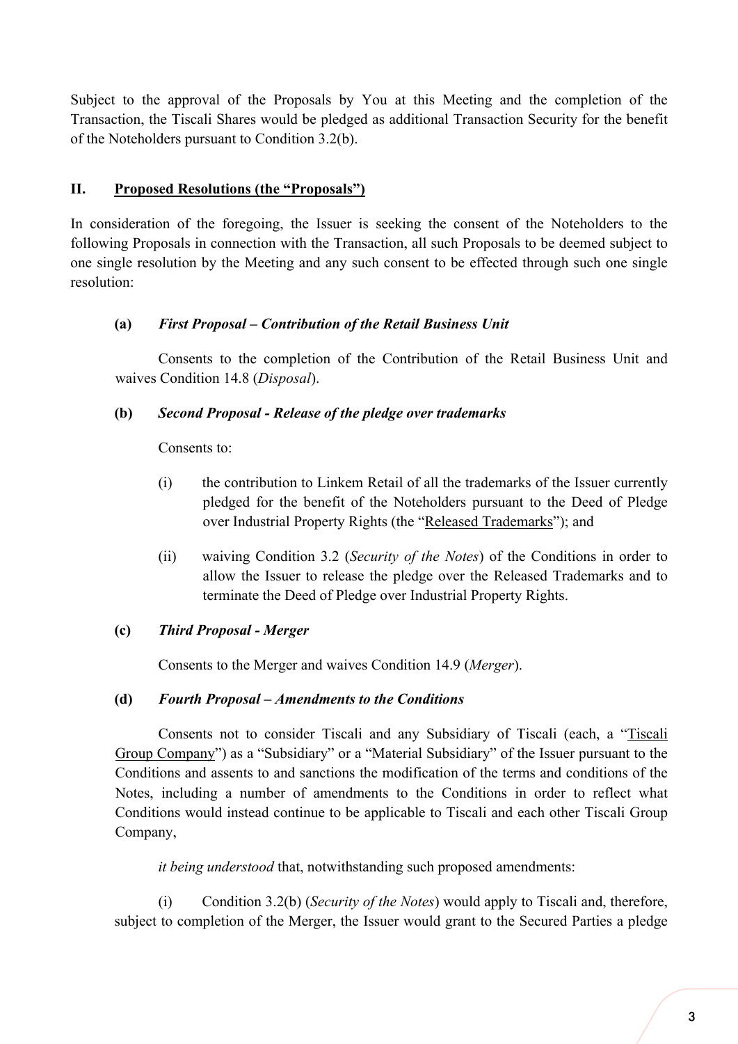Subject to the approval of the Proposals by You at this Meeting and the completion of the Transaction, the Tiscali Shares would be pledged as additional Transaction Security for the benefit of the Noteholders pursuant to Condition 3.2(b).

## **II. Proposed Resolutions (the "Proposals")**

In consideration of the foregoing, the Issuer is seeking the consent of the Noteholders to the following Proposals in connection with the Transaction, all such Proposals to be deemed subject to one single resolution by the Meeting and any such consent to be effected through such one single resolution:

## **(a)** *First Proposal – Contribution of the Retail Business Unit*

Consents to the completion of the Contribution of the Retail Business Unit and waives Condition 14.8 (*Disposal*).

## **(b)** *Second Proposal - Release of the pledge over trademarks*

Consents to:

- (i) the contribution to Linkem Retail of all the trademarks of the Issuer currently pledged for the benefit of the Noteholders pursuant to the Deed of Pledge over Industrial Property Rights (the "Released Trademarks"); and
- (ii) waiving Condition 3.2 (*Security of the Notes*) of the Conditions in order to allow the Issuer to release the pledge over the Released Trademarks and to terminate the Deed of Pledge over Industrial Property Rights.

## **(c)** *Third Proposal - Merger*

Consents to the Merger and waives Condition 14.9 (*Merger*).

#### **(d)** *Fourth Proposal – Amendments to the Conditions*

Consents not to consider Tiscali and any Subsidiary of Tiscali (each, a "Tiscali Group Company") as a "Subsidiary" or a "Material Subsidiary" of the Issuer pursuant to the Conditions and assents to and sanctions the modification of the terms and conditions of the Notes, including a number of amendments to the Conditions in order to reflect what Conditions would instead continue to be applicable to Tiscali and each other Tiscali Group Company,

*it being understood* that, notwithstanding such proposed amendments:

(i) Condition 3.2(b) (*Security of the Notes*) would apply to Tiscali and, therefore, subject to completion of the Merger, the Issuer would grant to the Secured Parties a pledge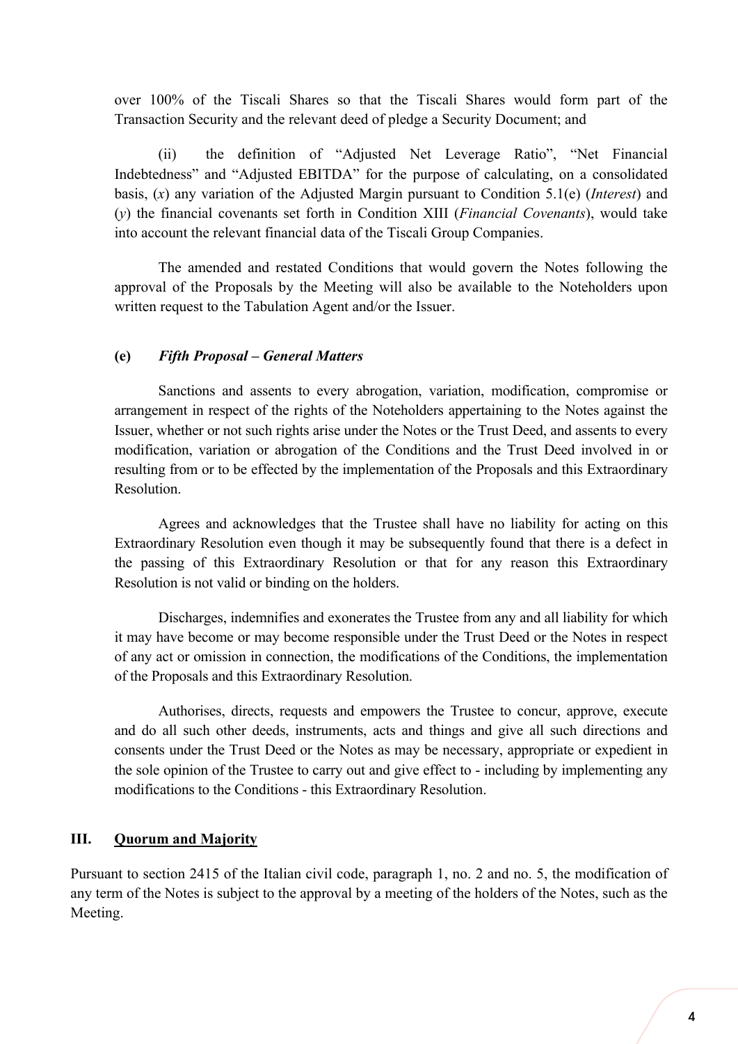over 100% of the Tiscali Shares so that the Tiscali Shares would form part of the Transaction Security and the relevant deed of pledge a Security Document; and

(ii) the definition of "Adjusted Net Leverage Ratio", "Net Financial Indebtedness" and "Adjusted EBITDA" for the purpose of calculating, on a consolidated basis, (*x*) any variation of the Adjusted Margin pursuant to Condition 5.1(e) (*Interest*) and (*y*) the financial covenants set forth in Condition XIII (*Financial Covenants*), would take into account the relevant financial data of the Tiscali Group Companies.

The amended and restated Conditions that would govern the Notes following the approval of the Proposals by the Meeting will also be available to the Noteholders upon written request to the Tabulation Agent and/or the Issuer.

#### **(e)** *Fifth Proposal – General Matters*

Sanctions and assents to every abrogation, variation, modification, compromise or arrangement in respect of the rights of the Noteholders appertaining to the Notes against the Issuer, whether or not such rights arise under the Notes or the Trust Deed, and assents to every modification, variation or abrogation of the Conditions and the Trust Deed involved in or resulting from or to be effected by the implementation of the Proposals and this Extraordinary Resolution.

Agrees and acknowledges that the Trustee shall have no liability for acting on this Extraordinary Resolution even though it may be subsequently found that there is a defect in the passing of this Extraordinary Resolution or that for any reason this Extraordinary Resolution is not valid or binding on the holders.

Discharges, indemnifies and exonerates the Trustee from any and all liability for which it may have become or may become responsible under the Trust Deed or the Notes in respect of any act or omission in connection, the modifications of the Conditions, the implementation of the Proposals and this Extraordinary Resolution.

Authorises, directs, requests and empowers the Trustee to concur, approve, execute and do all such other deeds, instruments, acts and things and give all such directions and consents under the Trust Deed or the Notes as may be necessary, appropriate or expedient in the sole opinion of the Trustee to carry out and give effect to - including by implementing any modifications to the Conditions - this Extraordinary Resolution.

#### **III. Quorum and Majority**

Pursuant to section 2415 of the Italian civil code, paragraph 1, no. 2 and no. 5, the modification of any term of the Notes is subject to the approval by a meeting of the holders of the Notes, such as the Meeting.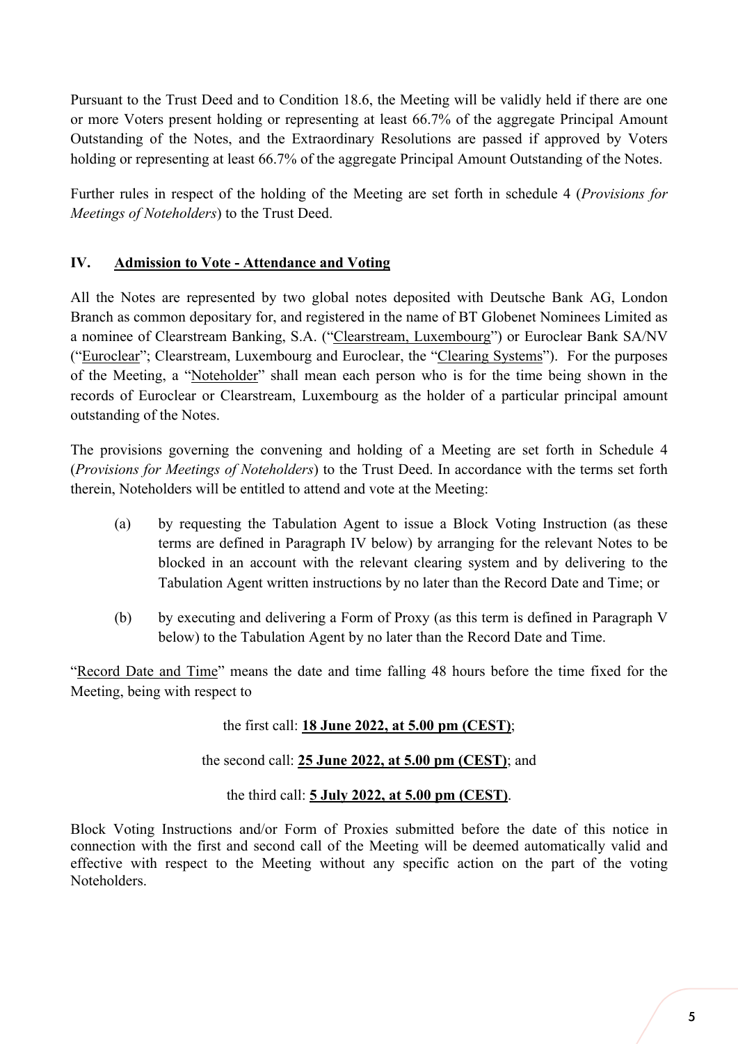Pursuant to the Trust Deed and to Condition 18.6, the Meeting will be validly held if there are one or more Voters present holding or representing at least 66.7% of the aggregate Principal Amount Outstanding of the Notes, and the Extraordinary Resolutions are passed if approved by Voters holding or representing at least 66.7% of the aggregate Principal Amount Outstanding of the Notes.

Further rules in respect of the holding of the Meeting are set forth in schedule 4 (*Provisions for Meetings of Noteholders*) to the Trust Deed.

## **IV. Admission to Vote - Attendance and Voting**

All the Notes are represented by two global notes deposited with Deutsche Bank AG, London Branch as common depositary for, and registered in the name of BT Globenet Nominees Limited as a nominee of Clearstream Banking, S.A. ("Clearstream, Luxembourg") or Euroclear Bank SA/NV ("Euroclear"; Clearstream, Luxembourg and Euroclear, the "Clearing Systems"). For the purposes of the Meeting, a "Noteholder" shall mean each person who is for the time being shown in the records of Euroclear or Clearstream, Luxembourg as the holder of a particular principal amount outstanding of the Notes.

The provisions governing the convening and holding of a Meeting are set forth in Schedule 4 (*Provisions for Meetings of Noteholders*) to the Trust Deed. In accordance with the terms set forth therein, Noteholders will be entitled to attend and vote at the Meeting:

- (a) by requesting the Tabulation Agent to issue a Block Voting Instruction (as these terms are defined in Paragraph IV below) by arranging for the relevant Notes to be blocked in an account with the relevant clearing system and by delivering to the Tabulation Agent written instructions by no later than the Record Date and Time; or
- (b) by executing and delivering a Form of Proxy (as this term is defined in Paragraph V below) to the Tabulation Agent by no later than the Record Date and Time.

"Record Date and Time" means the date and time falling 48 hours before the time fixed for the Meeting, being with respect to

the first call: **18 June 2022, at 5.00 pm (CEST)**;

the second call: **25 June 2022, at 5.00 pm (CEST)**; and

the third call: **5 July 2022, at 5.00 pm (CEST)**.

Block Voting Instructions and/or Form of Proxies submitted before the date of this notice in connection with the first and second call of the Meeting will be deemed automatically valid and effective with respect to the Meeting without any specific action on the part of the voting Noteholders.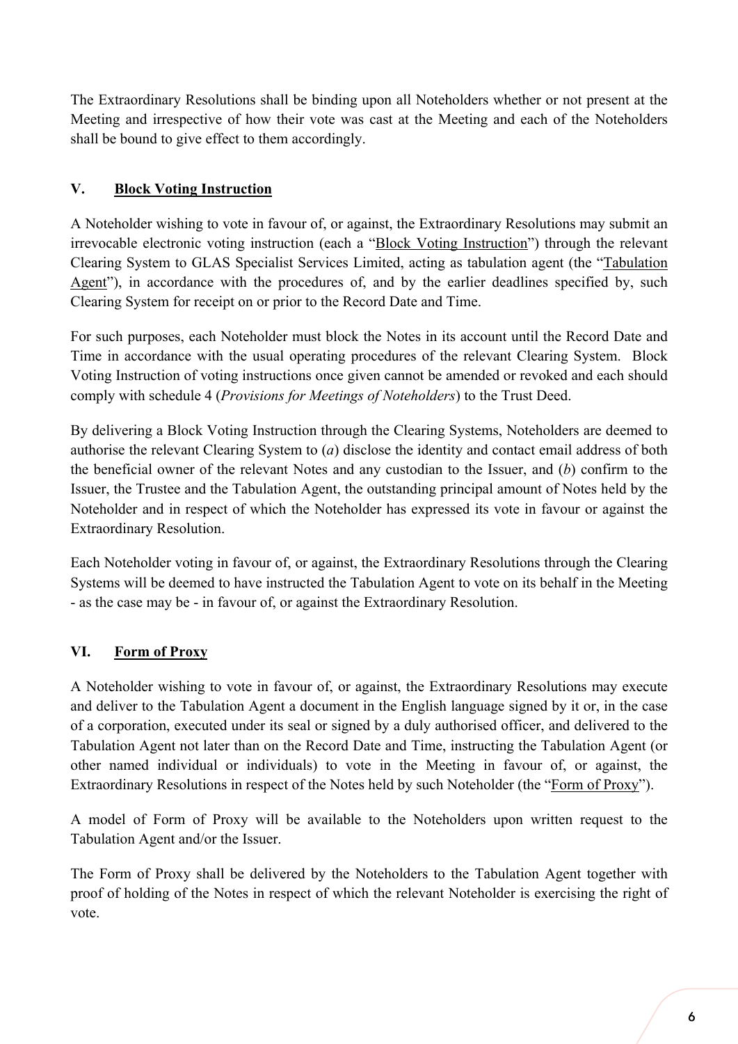The Extraordinary Resolutions shall be binding upon all Noteholders whether or not present at the Meeting and irrespective of how their vote was cast at the Meeting and each of the Noteholders shall be bound to give effect to them accordingly.

## **V. Block Voting Instruction**

A Noteholder wishing to vote in favour of, or against, the Extraordinary Resolutions may submit an irrevocable electronic voting instruction (each a "Block Voting Instruction") through the relevant Clearing System to GLAS Specialist Services Limited, acting as tabulation agent (the "Tabulation Agent"), in accordance with the procedures of, and by the earlier deadlines specified by, such Clearing System for receipt on or prior to the Record Date and Time.

For such purposes, each Noteholder must block the Notes in its account until the Record Date and Time in accordance with the usual operating procedures of the relevant Clearing System. Block Voting Instruction of voting instructions once given cannot be amended or revoked and each should comply with schedule 4 (*Provisions for Meetings of Noteholders*) to the Trust Deed.

By delivering a Block Voting Instruction through the Clearing Systems, Noteholders are deemed to authorise the relevant Clearing System to (*a*) disclose the identity and contact email address of both the beneficial owner of the relevant Notes and any custodian to the Issuer, and (*b*) confirm to the Issuer, the Trustee and the Tabulation Agent, the outstanding principal amount of Notes held by the Noteholder and in respect of which the Noteholder has expressed its vote in favour or against the Extraordinary Resolution.

Each Noteholder voting in favour of, or against, the Extraordinary Resolutions through the Clearing Systems will be deemed to have instructed the Tabulation Agent to vote on its behalf in the Meeting - as the case may be - in favour of, or against the Extraordinary Resolution.

## **VI. Form of Proxy**

A Noteholder wishing to vote in favour of, or against, the Extraordinary Resolutions may execute and deliver to the Tabulation Agent a document in the English language signed by it or, in the case of a corporation, executed under its seal or signed by a duly authorised officer, and delivered to the Tabulation Agent not later than on the Record Date and Time, instructing the Tabulation Agent (or other named individual or individuals) to vote in the Meeting in favour of, or against, the Extraordinary Resolutions in respect of the Notes held by such Noteholder (the "Form of Proxy").

A model of Form of Proxy will be available to the Noteholders upon written request to the Tabulation Agent and/or the Issuer.

The Form of Proxy shall be delivered by the Noteholders to the Tabulation Agent together with proof of holding of the Notes in respect of which the relevant Noteholder is exercising the right of vote.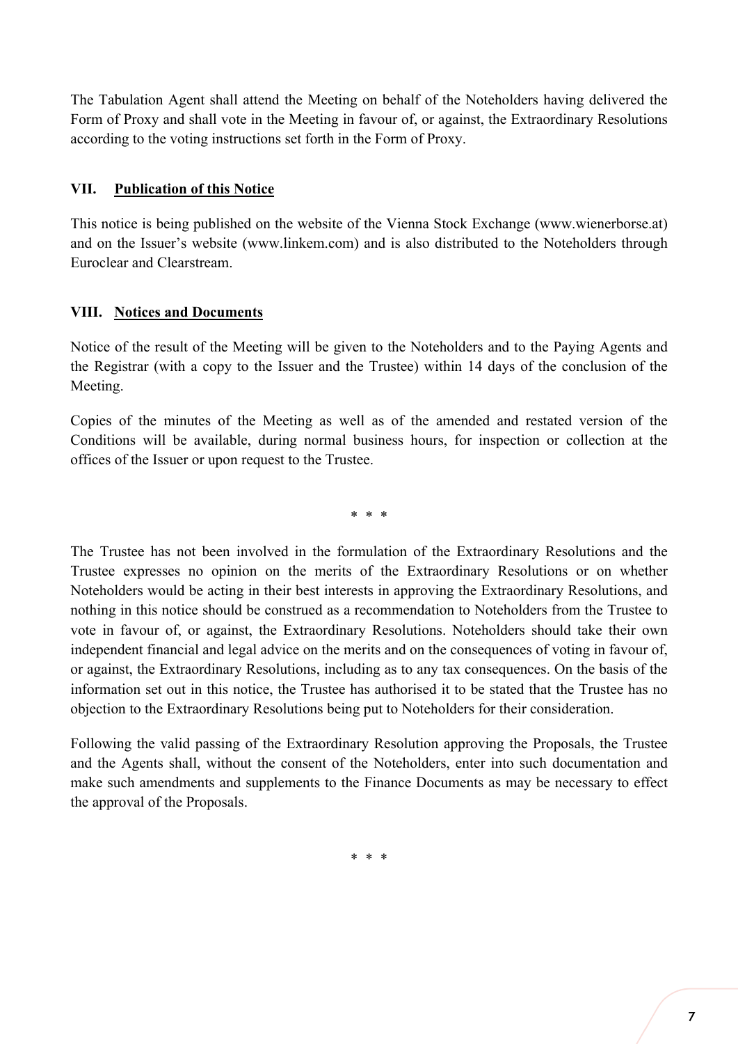The Tabulation Agent shall attend the Meeting on behalf of the Noteholders having delivered the Form of Proxy and shall vote in the Meeting in favour of, or against, the Extraordinary Resolutions according to the voting instructions set forth in the Form of Proxy.

## **VII. Publication of this Notice**

This notice is being published on the website of the Vienna Stock Exchange (www.wienerborse.at) and on the Issuer's website (www.linkem.com) and is also distributed to the Noteholders through Euroclear and Clearstream.

## **VIII. Notices and Documents**

Notice of the result of the Meeting will be given to the Noteholders and to the Paying Agents and the Registrar (with a copy to the Issuer and the Trustee) within 14 days of the conclusion of the Meeting.

Copies of the minutes of the Meeting as well as of the amended and restated version of the Conditions will be available, during normal business hours, for inspection or collection at the offices of the Issuer or upon request to the Trustee.

\* \* \*

The Trustee has not been involved in the formulation of the Extraordinary Resolutions and the Trustee expresses no opinion on the merits of the Extraordinary Resolutions or on whether Noteholders would be acting in their best interests in approving the Extraordinary Resolutions, and nothing in this notice should be construed as a recommendation to Noteholders from the Trustee to vote in favour of, or against, the Extraordinary Resolutions. Noteholders should take their own independent financial and legal advice on the merits and on the consequences of voting in favour of, or against, the Extraordinary Resolutions, including as to any tax consequences. On the basis of the information set out in this notice, the Trustee has authorised it to be stated that the Trustee has no objection to the Extraordinary Resolutions being put to Noteholders for their consideration.

Following the valid passing of the Extraordinary Resolution approving the Proposals, the Trustee and the Agents shall, without the consent of the Noteholders, enter into such documentation and make such amendments and supplements to the Finance Documents as may be necessary to effect the approval of the Proposals.

\* \* \*